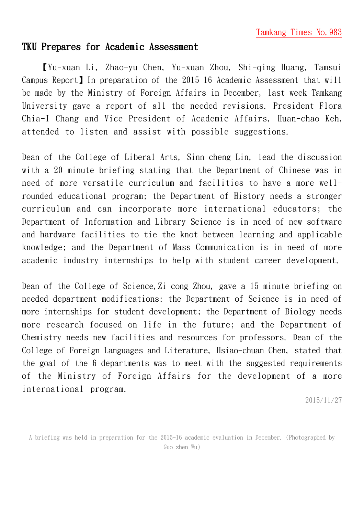## TKU Prepares for Academic Assessment

【Yu-xuan Li, Zhao-yu Chen, Yu-xuan Zhou, Shi-qing Huang, Tamsui Campus Report】In preparation of the 2015-16 Academic Assessment that will be made by the Ministry of Foreign Affairs in December, last week Tamkang University gave a report of all the needed revisions. President Flora Chia-I Chang and Vice President of Academic Affairs, Huan-chao Keh, attended to listen and assist with possible suggestions.

Dean of the College of Liberal Arts, Sinn-cheng Lin, lead the discussion with a 20 minute briefing stating that the Department of Chinese was in need of more versatile curriculum and facilities to have a more wellrounded educational program; the Department of History needs a stronger curriculum and can incorporate more international educators; the Department of Information and Library Science is in need of new software and hardware facilities to tie the knot between learning and applicable knowledge; and the Department of Mass Communication is in need of more academic industry internships to help with student career development.

Dean of the College of Science, Zi-cong Zhou, gave a 15 minute briefing on needed department modifications: the Department of Science is in need of more internships for student development; the Department of Biology needs more research focused on life in the future; and the Department of Chemistry needs new facilities and resources for professors. Dean of the College of Foreign Languages and Literature, Hsiao-chuan Chen, stated that the goal of the 6 departments was to meet with the suggested requirements of the Ministry of Foreign Affairs for the development of a more international program.

2015/11/27

A briefing was held in preparation for the 2015-16 academic evaluation in December. (Photographed by Guo-zhen Wu)